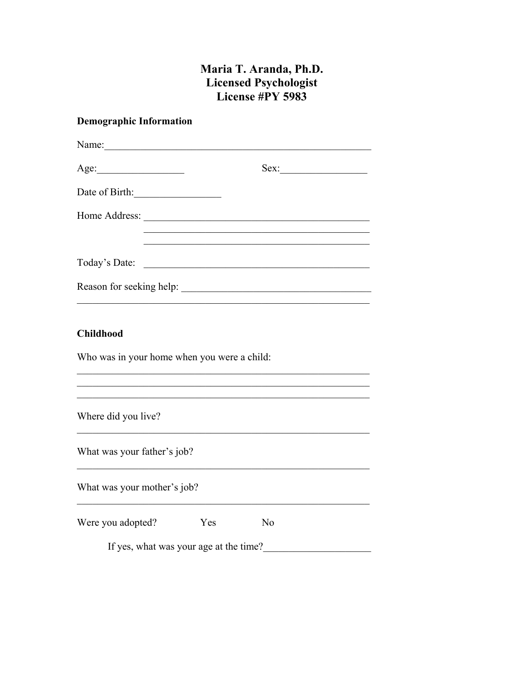# Maria T. Aranda, Ph.D. Licensed Psychologist<br>License #PY 5983

# **Demographic Information**

| Age:                                                            |     | $Sex:\_$       |  |
|-----------------------------------------------------------------|-----|----------------|--|
| Date of Birth:                                                  |     |                |  |
|                                                                 |     |                |  |
|                                                                 |     |                |  |
|                                                                 |     |                |  |
| <b>Childhood</b><br>Who was in your home when you were a child: |     |                |  |
| Where did you live?                                             |     |                |  |
| What was your father's job?                                     |     |                |  |
| What was your mother's job?                                     |     |                |  |
| Were you adopted?                                               | Yes | N <sub>o</sub> |  |
| If yes, what was your age at the time?                          |     |                |  |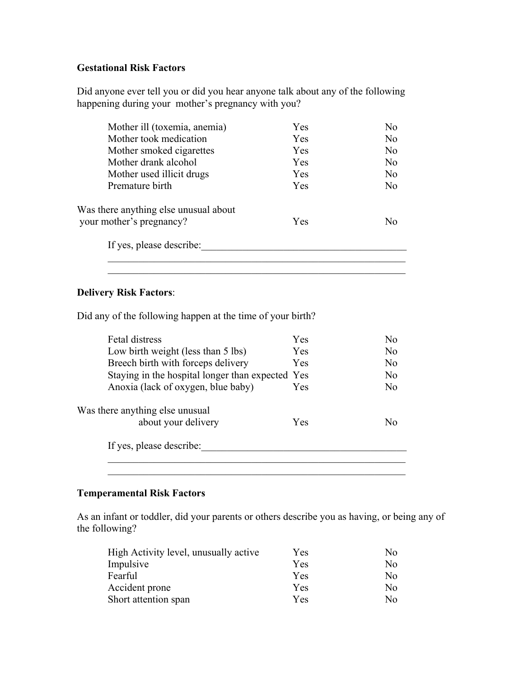# **Gestational Risk Factors**

Did anyone ever tell you or did you hear anyone talk about any of the following happening during your mother's pregnancy with you?

| Mother ill (toxemia, anemia)          | <b>Yes</b> | No             |
|---------------------------------------|------------|----------------|
| Mother took medication                | Yes        | No             |
| Mother smoked cigarettes              | <b>Yes</b> | N <sub>o</sub> |
| Mother drank alcohol                  | Yes        | No             |
| Mother used illicit drugs             | <b>Yes</b> | No.            |
| Premature birth                       | Yes        | No             |
| Was there anything else unusual about |            |                |
| your mother's pregnancy?              | <b>Yes</b> | No             |
| If yes, please describe:              |            |                |

#### **Delivery Risk Factors**:

Did any of the following happen at the time of your birth?

| <b>Fetal distress</b>                            | Yes        | No             |
|--------------------------------------------------|------------|----------------|
| Low birth weight (less than 5 lbs)               | <b>Yes</b> | N <sub>0</sub> |
| Breech birth with forceps delivery               | Yes        | No             |
| Staying in the hospital longer than expected Yes |            | No.            |
| Anoxia (lack of oxygen, blue baby)               | Yes        | No             |
| Was there anything else unusual                  |            |                |
| about your delivery                              | <b>Yes</b> | No             |
| If yes, please describe:                         |            |                |
|                                                  |            |                |
|                                                  |            |                |

### **Temperamental Risk Factors**

As an infant or toddler, did your parents or others describe you as having, or being any of the following?

| High Activity level, unusually active | <b>Yes</b> | No. |
|---------------------------------------|------------|-----|
| Impulsive                             | Yes        | No. |
| Fearful                               | Yes        | No. |
| Accident prone                        | Yes        | No. |
| Short attention span                  | Yes        | No. |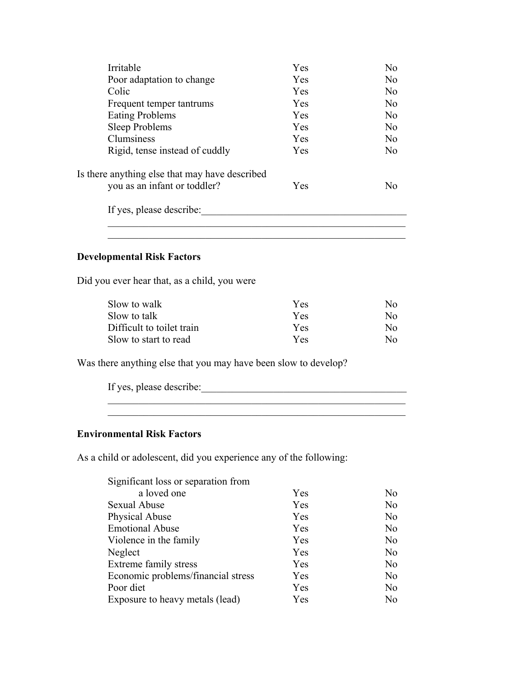| Irritable                                      | Yes | No.            |
|------------------------------------------------|-----|----------------|
| Poor adaptation to change                      | Yes | N <sub>0</sub> |
| Colic                                          | Yes | N <sub>0</sub> |
| Frequent temper tantrums                       | Yes | N <sub>0</sub> |
| <b>Eating Problems</b>                         | Yes | No             |
| Sleep Problems                                 | Yes | N <sub>0</sub> |
| Clumsiness                                     | Yes | N <sub>0</sub> |
| Rigid, tense instead of cuddly                 | Yes | No             |
| Is there anything else that may have described |     |                |
| you as an infant or toddler?                   | Yes | N <sub>0</sub> |
| If yes, please describe:                       |     |                |
|                                                |     |                |

### **Developmental Risk Factors**

Did you ever hear that, as a child, you were

| Slow to walk              | <b>Yes</b> | N٥           |
|---------------------------|------------|--------------|
| Slow to talk              | Yes        | $N_{\Omega}$ |
| Difficult to toilet train | Yes        | No.          |
| Slow to start to read     | Yes.       | $N_{\Omega}$ |

Was there anything else that you may have been slow to develop?

| If yes, please describe: |  |  |
|--------------------------|--|--|
|                          |  |  |

 $\mathcal{L}_\text{max} = \mathcal{L}_\text{max} = \mathcal{L}_\text{max} = \mathcal{L}_\text{max} = \mathcal{L}_\text{max} = \mathcal{L}_\text{max} = \mathcal{L}_\text{max} = \mathcal{L}_\text{max} = \mathcal{L}_\text{max} = \mathcal{L}_\text{max} = \mathcal{L}_\text{max} = \mathcal{L}_\text{max} = \mathcal{L}_\text{max} = \mathcal{L}_\text{max} = \mathcal{L}_\text{max} = \mathcal{L}_\text{max} = \mathcal{L}_\text{max} = \mathcal{L}_\text{max} = \mathcal{$ 

## **Environmental Risk Factors**

As a child or adolescent, did you experience any of the following:

| a loved one                        | Yes | No.            |
|------------------------------------|-----|----------------|
| <b>Sexual Abuse</b>                | Yes | No             |
| Physical Abuse                     | Yes | N <sub>o</sub> |
| <b>Emotional Abuse</b>             | Yes | No             |
| Violence in the family             | Yes | No             |
| Neglect                            | Yes | N <sub>o</sub> |
| Extreme family stress              | Yes | N <sub>o</sub> |
| Economic problems/financial stress | Yes | N <sub>o</sub> |
| Poor diet                          | Yes | No             |
| Exposure to heavy metals (lead)    | Yes | No.            |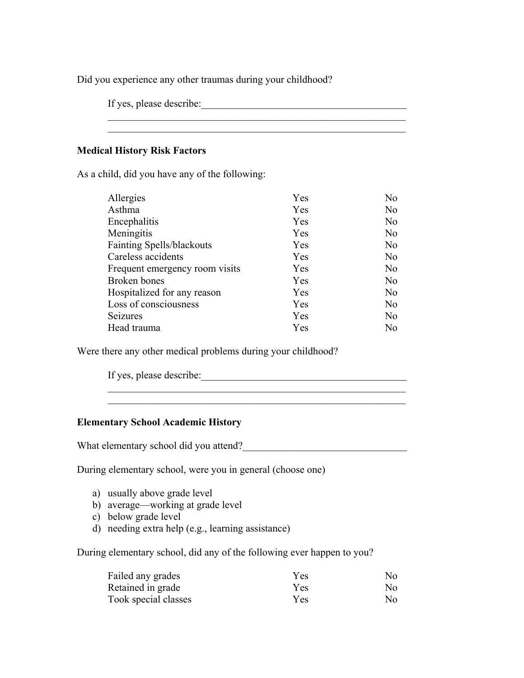Did you experience any other traumas during your childhood?

If yes, please describe:

## **Medical History Risk Factors**

As a child, did you have any of the following:

| Yes | N <sub>o</sub> |
|-----|----------------|
| Yes | N <sub>o</sub> |
| Yes | N <sub>o</sub> |
| Yes | N <sub>o</sub> |
| Yes | No             |
| Yes | No             |
| Yes | No             |
| Yes | No             |
| Yes | No             |
| Yes | No             |
| Yes | No             |
| Yes | No             |
|     |                |

 \_\_\_\_\_\_\_\_\_\_\_\_\_\_\_\_\_\_\_\_\_\_\_\_\_\_\_\_\_\_\_\_\_\_\_\_\_\_\_\_\_\_\_\_\_\_\_\_\_\_\_\_\_\_\_\_\_\_ \_\_\_\_\_\_\_\_\_\_\_\_\_\_\_\_\_\_\_\_\_\_\_\_\_\_\_\_\_\_\_\_\_\_\_\_\_\_\_\_\_\_\_\_\_\_\_\_\_\_\_\_\_\_\_\_\_\_

Were there any other medical problems during your childhood?

If yes, please describe:

#### **Elementary School Academic History**

What elementary school did you attend?\_\_\_\_\_\_\_\_\_\_\_\_\_\_\_\_\_\_\_\_\_\_\_\_\_\_\_\_\_\_\_\_

During elementary school, were you in general (choose one)

- a) usually above grade level
- b) average—working at grade level
- c) below grade level
- d) needing extra help (e.g., learning assistance)

During elementary school, did any of the following ever happen to you?

| Failed any grades    | Y es | No. |
|----------------------|------|-----|
| Retained in grade    | Yes  | No. |
| Took special classes | Yes  | No. |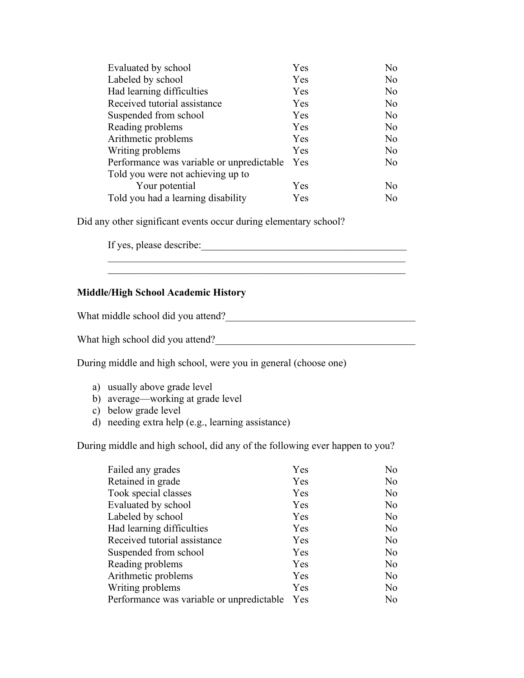| Evaluated by school                       | Yes | No. |
|-------------------------------------------|-----|-----|
| Labeled by school                         | Yes | No  |
| Had learning difficulties                 | Yes | No  |
| Received tutorial assistance              | Yes | No  |
| Suspended from school                     | Yes | No  |
| Reading problems                          | Yes | No  |
| Arithmetic problems                       | Yes | No  |
| Writing problems                          | Yes | No  |
| Performance was variable or unpredictable | Yes | No  |
| Told you were not achieving up to         |     |     |
| Your potential                            | Yes | No. |
| Told you had a learning disability        | Yes | No  |

Did any other significant events occur during elementary school?

If yes, please describe:\_\_\_\_\_\_\_\_\_\_\_\_\_\_\_\_\_\_\_\_\_\_\_\_\_\_\_\_\_\_\_\_\_\_\_\_\_\_\_\_

#### **Middle/High School Academic History**

What middle school did you attend?

What high school did you attend?\_\_\_\_\_\_\_\_\_\_\_\_\_\_\_\_\_\_\_\_\_\_\_\_\_\_\_\_\_\_\_\_\_\_\_\_\_\_\_

During middle and high school, were you in general (choose one)

- a) usually above grade level
- b) average—working at grade level
- c) below grade level
- d) needing extra help (e.g., learning assistance)

During middle and high school, did any of the following ever happen to you?

| Failed any grades                         | Yes        | No             |
|-------------------------------------------|------------|----------------|
| Retained in grade                         | Yes        | No             |
| Took special classes                      | Yes        | No             |
| Evaluated by school                       | Yes        | No.            |
| Labeled by school                         | Yes        | N <sub>o</sub> |
| Had learning difficulties                 | Yes        | No             |
| Received tutorial assistance              | Yes        | No             |
| Suspended from school                     | Yes        | No             |
| Reading problems                          | Yes        | No             |
| Arithmetic problems                       | Yes        | No             |
| Writing problems                          | Yes        | No             |
| Performance was variable or unpredictable | <b>Yes</b> | No             |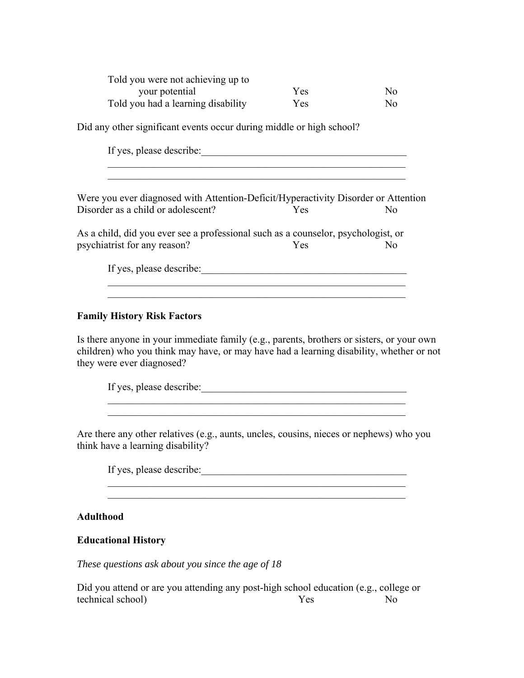| Told you were not achieving up to  |     |                |
|------------------------------------|-----|----------------|
| your potential                     | Yes | N <sub>0</sub> |
| Told you had a learning disability | Yes | N <sub>0</sub> |

Did any other significant events occur during middle or high school?

If yes, please describe:

Were you ever diagnosed with Attention-Deficit/Hyperactivity Disorder or Attention Disorder as a child or adolescent? Yes No

As a child, did you ever see a professional such as a counselor, psychologist, or psychiatrist for any reason? Yes No

If yes, please describe:\_\_\_\_\_\_\_\_\_\_\_\_\_\_\_\_\_\_\_\_\_\_\_\_\_\_\_\_\_\_\_\_\_\_\_\_\_\_\_\_

#### **Family History Risk Factors**

Is there anyone in your immediate family (e.g., parents, brothers or sisters, or your own children) who you think may have, or may have had a learning disability, whether or not they were ever diagnosed?

 $\overline{\phantom{a}}$  , and the contribution of the contribution of  $\overline{\phantom{a}}$  , and  $\overline{\phantom{a}}$  , and  $\overline{\phantom{a}}$  , and  $\overline{\phantom{a}}$  , and  $\overline{\phantom{a}}$  , and  $\overline{\phantom{a}}$  , and  $\overline{\phantom{a}}$  , and  $\overline{\phantom{a}}$  , and  $\overline{\phantom{a}}$  , and

If yes, please describe:\_\_\_\_\_\_\_\_\_\_\_\_\_\_\_\_\_\_\_\_\_\_\_\_\_\_\_\_\_\_\_\_\_\_\_\_\_\_\_\_

 $\mathcal{L}_\text{max} = \frac{1}{2} \sum_{i=1}^{n} \frac{1}{2} \sum_{i=1}^{n} \frac{1}{2} \sum_{i=1}^{n} \frac{1}{2} \sum_{i=1}^{n} \frac{1}{2} \sum_{i=1}^{n} \frac{1}{2} \sum_{i=1}^{n} \frac{1}{2} \sum_{i=1}^{n} \frac{1}{2} \sum_{i=1}^{n} \frac{1}{2} \sum_{i=1}^{n} \frac{1}{2} \sum_{i=1}^{n} \frac{1}{2} \sum_{i=1}^{n} \frac{1}{2} \sum_{i=1}^{n} \frac{1$ 

Are there any other relatives (e.g., aunts, uncles, cousins, nieces or nephews) who you think have a learning disability?

If yes, please describe:\_\_\_\_\_\_\_\_\_\_\_\_\_\_\_\_\_\_\_\_\_\_\_\_\_\_\_\_\_\_\_\_\_\_\_\_\_\_\_\_

**Adulthood** 

#### **Educational History**

*These questions ask about you since the age of 18* 

Did you attend or are you attending any post-high school education (e.g., college or technical school) Yes No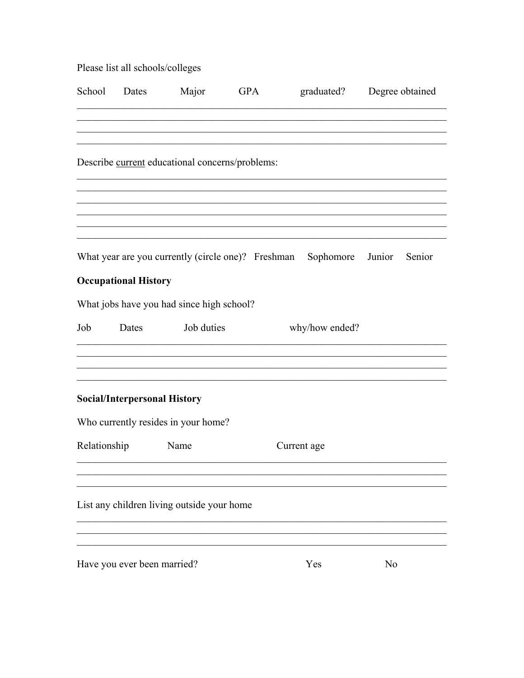| Please list all schools/colleges |  |
|----------------------------------|--|
|----------------------------------|--|

| School Dates |                                     | Major                                           | GPA |                                                                     | graduated? Degree obtained |        |
|--------------|-------------------------------------|-------------------------------------------------|-----|---------------------------------------------------------------------|----------------------------|--------|
|              |                                     |                                                 |     |                                                                     |                            |        |
|              |                                     | Describe current educational concerns/problems: |     |                                                                     |                            |        |
|              |                                     |                                                 |     |                                                                     |                            |        |
|              |                                     |                                                 |     |                                                                     |                            |        |
|              |                                     |                                                 |     | What year are you currently (circle one)? Freshman Sophomore Junior |                            | Senior |
|              | <b>Occupational History</b>         |                                                 |     |                                                                     |                            |        |
|              |                                     | What jobs have you had since high school?       |     |                                                                     |                            |        |
| Job          | Dates                               | Job duties                                      |     | why/how ended?                                                      |                            |        |
|              | <b>Social/Interpersonal History</b> |                                                 |     |                                                                     |                            |        |
|              |                                     | Who currently resides in your home?             |     |                                                                     |                            |        |
| Relationship |                                     | Name                                            |     | Current age                                                         |                            |        |
|              |                                     | List any children living outside your home      |     |                                                                     |                            |        |
|              | Have you ever been married?         |                                                 |     | Yes                                                                 | No                         |        |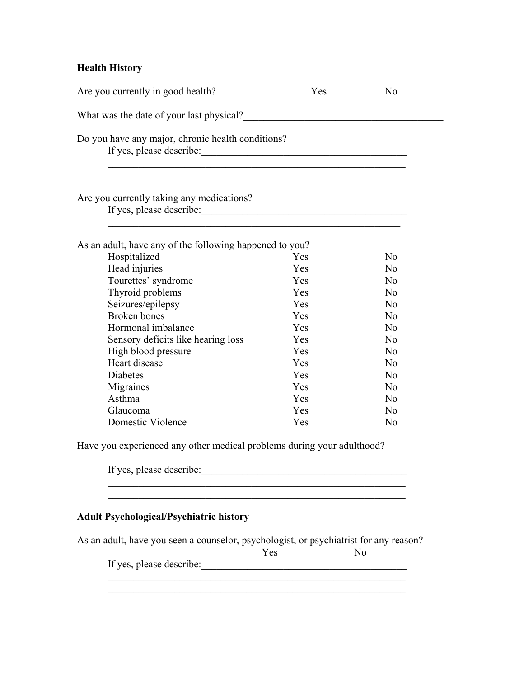# **Health History**

| Are you currently in good health?                                             | Yes | No             |
|-------------------------------------------------------------------------------|-----|----------------|
|                                                                               |     |                |
| Do you have any major, chronic health conditions?<br>If yes, please describe: |     |                |
| Are you currently taking any medications?                                     |     |                |
| As an adult, have any of the following happened to you?                       |     |                |
| Hospitalized                                                                  | Yes | N <sub>o</sub> |
| Head injuries                                                                 | Yes | N <sub>o</sub> |
| Tourettes' syndrome                                                           | Yes | No             |
| Thyroid problems                                                              | Yes | N <sub>o</sub> |
| Seizures/epilepsy                                                             | Yes | No             |
| <b>Broken</b> bones                                                           | Yes | No             |
| Hormonal imbalance                                                            | Yes | No             |
| Sensory deficits like hearing loss                                            | Yes | N <sub>o</sub> |
| High blood pressure                                                           | Yes | N <sub>o</sub> |
| Heart disease                                                                 | Yes | N <sub>o</sub> |
| <b>Diabetes</b>                                                               | Yes | N <sub>o</sub> |
| Migraines                                                                     | Yes | N <sub>o</sub> |
| Asthma                                                                        | Yes | N <sub>o</sub> |
|                                                                               | Yes | No             |
| Glaucoma<br>Domestic Violence                                                 | Yes | N <sub>o</sub> |

# **Adult Psychological/Psychiatric history**

As an adult, have you seen a counselor, psychologist, or psychiatrist for any reason?<br>Yes No

 $\mathcal{L}_\text{max} = \frac{1}{2} \sum_{i=1}^{n} \frac{1}{2} \sum_{i=1}^{n} \frac{1}{2} \sum_{i=1}^{n} \frac{1}{2} \sum_{i=1}^{n} \frac{1}{2} \sum_{i=1}^{n} \frac{1}{2} \sum_{i=1}^{n} \frac{1}{2} \sum_{i=1}^{n} \frac{1}{2} \sum_{i=1}^{n} \frac{1}{2} \sum_{i=1}^{n} \frac{1}{2} \sum_{i=1}^{n} \frac{1}{2} \sum_{i=1}^{n} \frac{1}{2} \sum_{i=1}^{n} \frac{1$ 

 $\overline{\phantom{a}}$  , and the contribution of the contribution of  $\overline{\phantom{a}}$  , and  $\overline{\phantom{a}}$  , and  $\overline{\phantom{a}}$  , and  $\overline{\phantom{a}}$ 

Yes No

If yes, please describe:\_\_\_\_\_\_\_\_\_\_\_\_\_\_\_\_\_\_\_\_\_\_\_\_\_\_\_\_\_\_\_\_\_\_\_\_\_\_\_\_